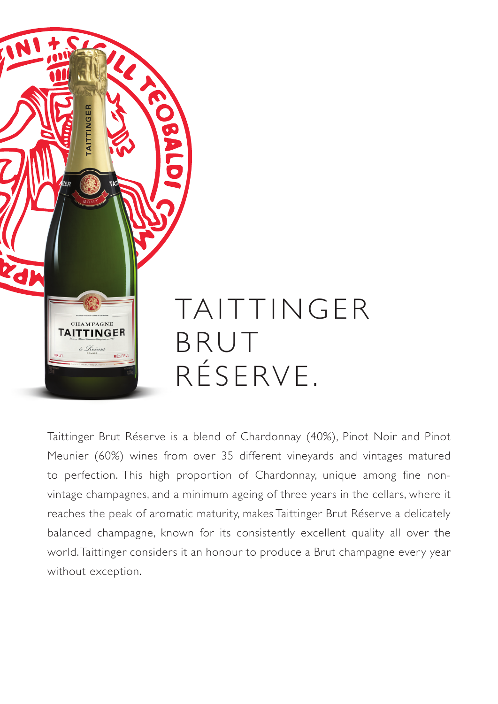

Taittinger Brut Réserve is a blend of Chardonnay (40%), Pinot Noir and Pinot Meunier (60%) wines from over 35 different vineyards and vintages matured to perfection. This high proportion of Chardonnay, unique among fine nonvintage champagnes, and a minimum ageing of three years in the cellars, where it reaches the peak of aromatic maturity, makes Taittinger Brut Réserve a delicately balanced champagne, known for its consistently excellent quality all over the world. Taittinger considers it an honour to produce a Brut champagne every year without exception.